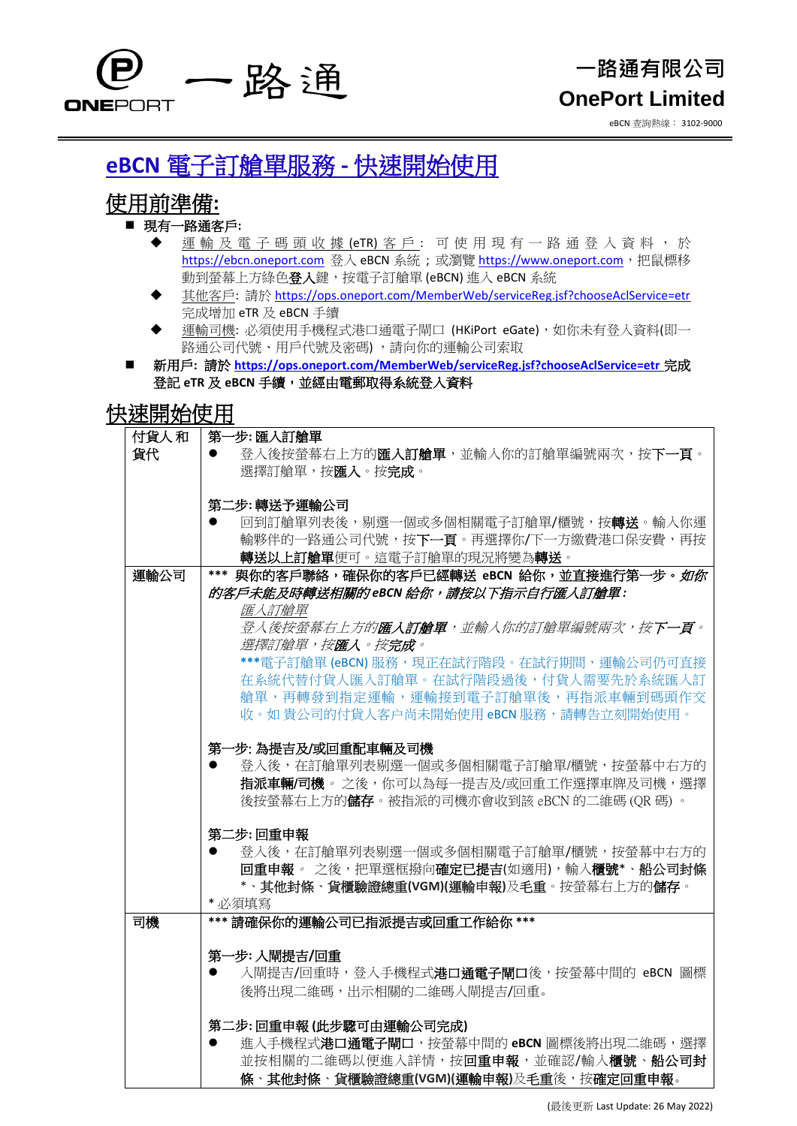

# 一路通有限公司 **OnePort Limited**

eBCN 查詢熱線: 3102-9000

# **eBCN** 電子訂艙單服務 **-** 快速開始使用

## 使用前準備**:**

### ■ 現有一路通客戶:

- 運輸 及 電 子 碼 頭 收 據 (eTR) 客 戶 : 可 使 用 現 有 一 路 通 登 入 資 料 , 於 [https://ebcn.oneport.com](https://ebcn.oneport.com/) 登入 eBCN 系統;或瀏覽 [https://www.oneport.com](https://www.oneport.com/), 把鼠標移 動到螢幕上方綠色登入鍵,按電子訂艙單 (eBCN) 進入 eBCN 系統
- 其他客戶: 請於 <https://ops.oneport.com/MemberWeb/serviceReg.jsf?chooseAclService=etr> 完成增加 eTR 及 eBCN 手續
- 運輸司機: 必須使用手機程式港口通電子閘口 (HKiPort eGate), 如你未有登入資料(即一 路通公司代號、用戶代號及密碼),請向你的運輸公司索取
- 新用戶**:** 請於 **<https://ops.oneport.com/MemberWeb/serviceReg.jsf?chooseAclService=etr>** 完成 登記 **eTR** 及 **eBCN** 手續,並經由電郵取得系統登入資料

## 快速開始使用

| 付貨人和 | 第一步: 匯入訂艙單                                              |
|------|---------------------------------------------------------|
| 貨代   | 登入後按螢幕右上方的匯入訂艙單,並輸入你的訂艙單編號兩次,按下一頁。                      |
|      | 選擇訂艙單,按匯入。按完成。                                          |
|      |                                                         |
|      | 第二步:轉送予運輸公司                                             |
|      | 回到訂艙單列表後,剔選一個或多個相關電子訂艙單 <b>/</b> 櫃號,按 <b>轉送</b> 。輸入你運   |
|      | 輸夥伴的一路通公司代號,按下一頁。再選擇你/下一方繳費港口保安費,再按                     |
|      | 轉送以上訂艙單便可。這電子訂艙單的現況將變為轉送。                               |
| 運輸公司 | 與你的客戶聯絡,確保你的客戶已經轉送 eBCN 給你,並直接進行第一步。如你<br>***           |
|      | 的客戶未能及時轉送相關的 eBCN 給你,請按以下指示自行匯入訂艙單:                     |
|      | 匯入訂艙單                                                   |
|      | <i>登入後按螢幕右上方的<b>匯入訂艙單</b>,並輸入你的訂艙單編號兩次,按<b>下一頁</b>。</i> |
|      | 選擇訂艙單,按 <b>匯入</b> 。按完成。                                 |
|      | ***電子訂艙單 (eBCN) 服務,現正在試行階段。在試行期間,運輸公司仍可直接               |
|      | 在系統代替付貨人匯入訂艙單。在試行階段過後,付貨人需要先於系統匯入訂                      |
|      | 艙單,再轉發到指定運輸,運輸接到電子訂艙單後,再指派車輛到碼頭作交                       |
|      | 收。如 貴公司的付貨人客户尚未開始使用 eBCN 服務,請轉告立刻開始使用。                  |
|      |                                                         |
|      | 第一步: 為提吉及/或回重配車輛及司機                                     |
|      | 登入後,在訂艙單列表剔選一個或多個相關電子訂艙單/櫃號,按螢幕中右方的                     |
|      | 指派車輛/司機。 之後,你可以為每一提吉及/或回重工作選擇車牌及司機,選擇                   |
|      | 後按螢幕右上方的儲存。被指派的司機亦會收到該 eBCN 的二維碼 (QR 碼)。                |
|      | 第二步: 回重申報                                               |
|      | 登入後,在訂艙單列表剔選一個或多個相關電子訂艙單/櫃號,按螢幕中右方的                     |
|      | 回重申報。 之後,把單選框撥向確定已提吉(如適用),輸入櫃號*、船公司封條                   |
|      | *、其他封條、貨櫃驗證總重(VGM)(運輸申報)及毛重。按螢幕右上方的儲存。                  |
|      | * 必須填寫                                                  |
| 司機   | *** 請確保你的運輸公司已指派提吉或回重工作給你 ***                           |
|      |                                                         |
|      | 第一步:入閘提吉/回重                                             |
|      | 入閘提吉/回重時,登入手機程式 <b>港口通電子閘口</b> 後,按螢幕中間的 eBCN 圖標<br>0    |
|      | 後將出現二維碼,出示相關的二維碼入閘提吉/回重。                                |
|      |                                                         |
|      | 第二步:回重申報(此步驟可由運輸公司完成)                                   |
|      | 進入手機程式 <b>港口通電子閘口</b> ,按螢幕中間的 eBCN 圖標後將出現二維碼,選擇         |
|      | 並按相關的二維碼以便進入詳情,按回重申報,並確認/輸入櫃號、船公司封                      |
|      | 條、其他封條、貨櫃驗證總重(VGM)(運輸申報)及毛重後, 按確定回重申報。                  |